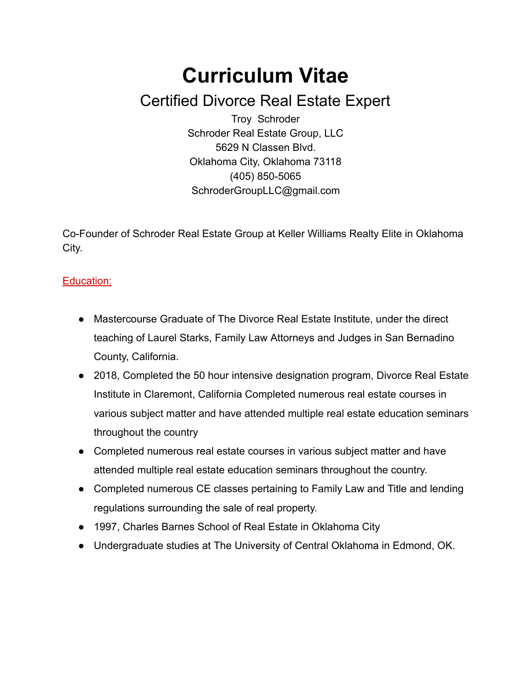# **Curriculum Vitae** Certified Divorce Real Estate Expert

Troy Schroder Schroder Real Estate Group, LLC 5629 N Classen Blvd. Oklahoma City, Oklahoma 73118  $(405)$  850-5065 SchroderGroupLLC@gmail.com

CoFounder of Schroder Real Estate Group at Keller Williams Realty Elite in Oklahoma City.

## Education:

- Mastercourse Graduate of The Divorce Real Estate Institute, under the direct teaching of Laurel Starks, Family Law Attorneys and Judges in San Bernadino County, California.
- 2018, Completed the 50 hour intensive designation program, Divorce Real Estate Institute in Claremont, California Completed numerous real estate courses in various subject matter and have attended multiple real estate education seminars throughout the country
- Completed numerous real estate courses in various subject matter and have attended multiple real estate education seminars throughout the country.
- Completed numerous CE classes pertaining to Family Law and Title and lending regulations surrounding the sale of real property.
- 1997, Charles Barnes School of Real Estate in Oklahoma City
- Undergraduate studies at The University of Central Oklahoma in Edmond, OK.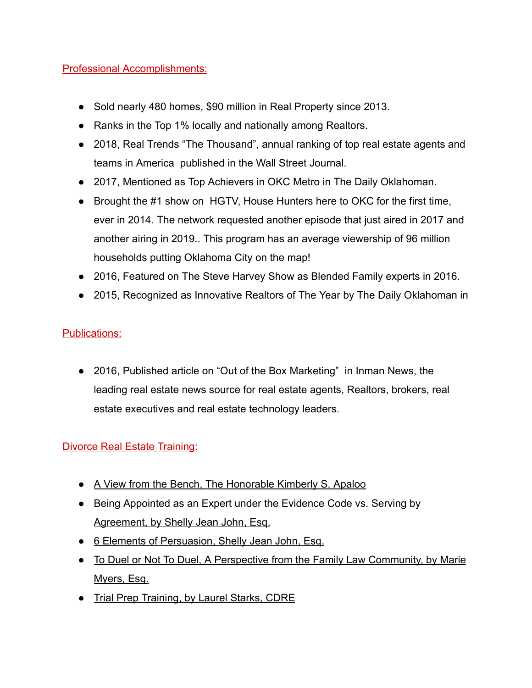#### Professional Accomplishments:

- Sold nearly 480 homes, \$90 million in Real Property since 2013.
- Ranks in the Top 1% locally and nationally among Realtors.
- 2018, Real Trends "The Thousand", annual ranking of top real estate agents and teams in America published in the Wall Street Journal.
- 2017, Mentioned as Top Achievers in OKC Metro in The Daily Oklahoman.
- Brought the #1 show on HGTV, House Hunters here to OKC for the first time, ever in 2014. The network requested another episode that just aired in 2017 and another airing in 2019.. This program has an average viewership of 96 million households putting Oklahoma City on the map!
- 2016, Featured on The Steve Harvey Show as Blended Family experts in 2016.
- 2015, Recognized as Innovative Realtors of The Year by The Daily Oklahoman in

## Publications:

● 2016, Published article on "Out of the Box Marketing" in Inman News, the leading real estate news source for real estate agents, Realtors, brokers, real estate executives and real estate technology leaders.

## Divorce Real Estate Training:

- A View from the Bench, The Honorable Kimberly S. Apaloo
- Being Appointed as an Expert under the Evidence Code vs. Serving by Agreement, by Shelly Jean John, Esq.
- 6 Elements of Persuasion, Shelly Jean John, Esq.
- To Duel or Not To Duel, A Perspective from the Family Law Community, by Marie Myers, Esq.
- Trial Prep Training, by Laurel Starks, CDRE